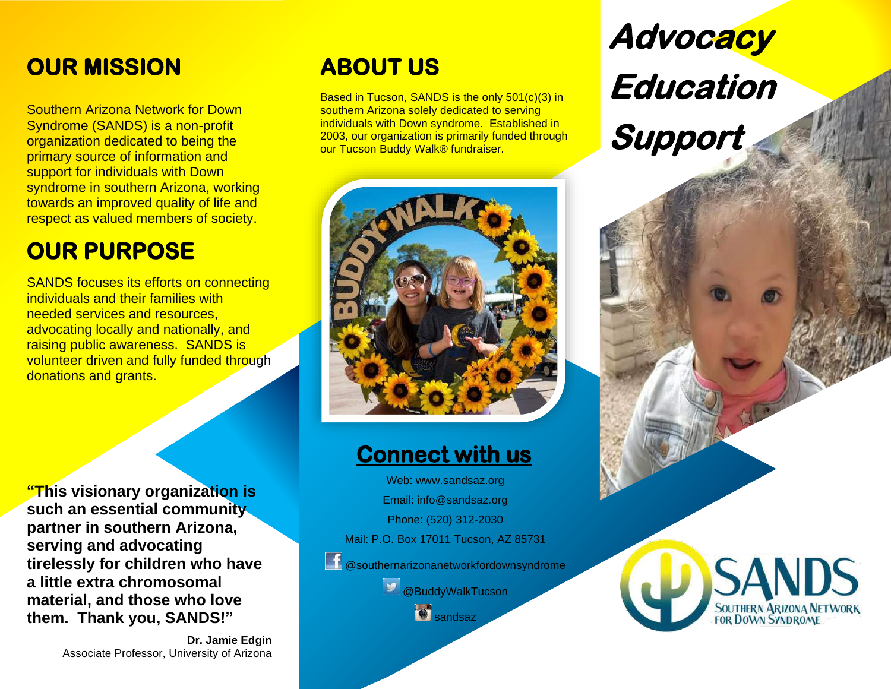### **OUR MISSION**

Southern Arizona Network for Down Syndrome (SANDS) is a non-profit organization dedicated to being the primary source of information and support for individuals with Down syndrome in southern Arizona, working towards an improved quality of life and respect as valued members of society.

### **OUR PURPOSE**

SANDS focuses its efforts on connecting individuals and their families with needed services and resources, advocating locally and nationally, and raising public awareness. SANDS is volunteer driven and fully funded through donations and grants.

**"This visionary organization is such an essential community partner in southern Arizona, serving and advocating tirelessly for children who have a little extra chromosomal material, and those who love them. Thank you, SANDS!"**

> **Dr. Jamie Edgin**  Associate Professor, University of Arizona

### **ABOUT US**

Based in Tucson, SANDS is the only 501(c)(3) in southern Arizona solely dedicated to serving individuals with Down syndrome. Established in 2003, our organization is primarily funded through our Tucson Buddy Walk<sup>®</sup> fundraiser.

### **Connect with us**:

Web: www.sandsaz.org Email: info@sandsaz.org Phone: (520) 312-2030

Mail: P.O. Box 17011 Tucson, AZ 85731

**f** @southernarizonanetworkfordownsyndrome

**@BuddyWalkTucson** 

**s** sandsaz

# **Advocacy Education**

**Support**